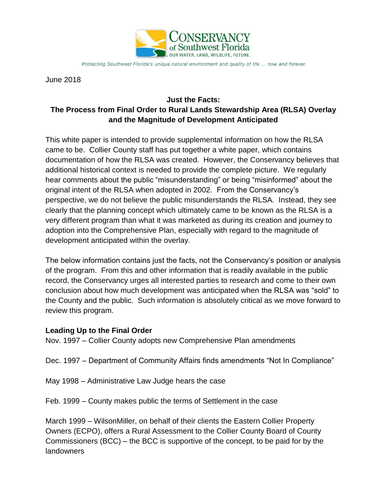

Protecting Southwest Florida's unique natural environment and quality of life ... now and forever.

June 2018

### **Just the Facts: The Process from Final Order to Rural Lands Stewardship Area (RLSA) Overlay and the Magnitude of Development Anticipated**

This white paper is intended to provide supplemental information on how the RLSA came to be. Collier County staff has put together a white paper, which contains documentation of how the RLSA was created. However, the Conservancy believes that additional historical context is needed to provide the complete picture. We regularly hear comments about the public "misunderstanding" or being "misinformed" about the original intent of the RLSA when adopted in 2002. From the Conservancy's perspective, we do not believe the public misunderstands the RLSA. Instead, they see clearly that the planning concept which ultimately came to be known as the RLSA is a very different program than what it was marketed as during its creation and journey to adoption into the Comprehensive Plan, especially with regard to the magnitude of development anticipated within the overlay.

The below information contains just the facts, not the Conservancy's position or analysis of the program. From this and other information that is readily available in the public record, the Conservancy urges all interested parties to research and come to their own conclusion about how much development was anticipated when the RLSA was "sold" to the County and the public. Such information is absolutely critical as we move forward to review this program.

### **Leading Up to the Final Order**

Nov. 1997 – Collier County adopts new Comprehensive Plan amendments

Dec. 1997 – Department of Community Affairs finds amendments "Not In Compliance"

- May 1998 Administrative Law Judge hears the case
- Feb. 1999 County makes public the terms of Settlement in the case

March 1999 – WilsonMiller, on behalf of their clients the Eastern Collier Property Owners (ECPO), offers a Rural Assessment to the Collier County Board of County Commissioners (BCC) – the BCC is supportive of the concept, to be paid for by the landowners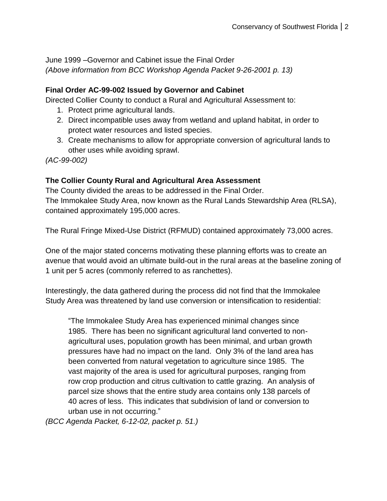June 1999 –Governor and Cabinet issue the Final Order *(Above information from BCC Workshop Agenda Packet 9-26-2001 p. 13)*

#### **Final Order AC-99-002 Issued by Governor and Cabinet**

Directed Collier County to conduct a Rural and Agricultural Assessment to:

- 1. Protect prime agricultural lands.
- 2. Direct incompatible uses away from wetland and upland habitat, in order to protect water resources and listed species.
- 3. Create mechanisms to allow for appropriate conversion of agricultural lands to other uses while avoiding sprawl.

*(AC-99-002)*

### **The Collier County Rural and Agricultural Area Assessment**

The County divided the areas to be addressed in the Final Order. The Immokalee Study Area, now known as the Rural Lands Stewardship Area (RLSA), contained approximately 195,000 acres.

The Rural Fringe Mixed-Use District (RFMUD) contained approximately 73,000 acres.

One of the major stated concerns motivating these planning efforts was to create an avenue that would avoid an ultimate build-out in the rural areas at the baseline zoning of 1 unit per 5 acres (commonly referred to as ranchettes).

Interestingly, the data gathered during the process did not find that the Immokalee Study Area was threatened by land use conversion or intensification to residential:

"The Immokalee Study Area has experienced minimal changes since 1985. There has been no significant agricultural land converted to nonagricultural uses, population growth has been minimal, and urban growth pressures have had no impact on the land. Only 3% of the land area has been converted from natural vegetation to agriculture since 1985. The vast majority of the area is used for agricultural purposes, ranging from row crop production and citrus cultivation to cattle grazing. An analysis of parcel size shows that the entire study area contains only 138 parcels of 40 acres of less. This indicates that subdivision of land or conversion to urban use in not occurring."

*(BCC Agenda Packet, 6-12-02, packet p. 51.)*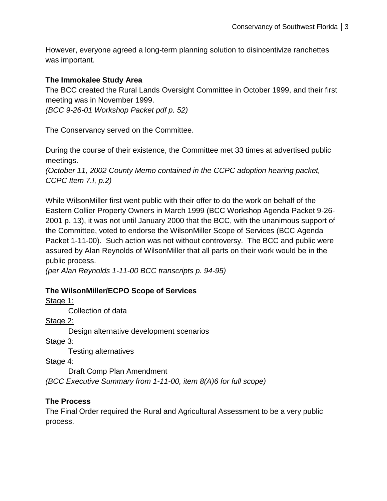However, everyone agreed a long-term planning solution to disincentivize ranchettes was important.

### **The Immokalee Study Area**

The BCC created the Rural Lands Oversight Committee in October 1999, and their first meeting was in November 1999.

*(BCC 9-26-01 Workshop Packet pdf p. 52)*

The Conservancy served on the Committee.

During the course of their existence, the Committee met 33 times at advertised public meetings.

*(October 11, 2002 County Memo contained in the CCPC adoption hearing packet, CCPC Item 7.I, p.2)*

While WilsonMiller first went public with their offer to do the work on behalf of the Eastern Collier Property Owners in March 1999 (BCC Workshop Agenda Packet 9-26- 2001 p. 13), it was not until January 2000 that the BCC, with the unanimous support of the Committee, voted to endorse the WilsonMiller Scope of Services (BCC Agenda Packet 1-11-00). Such action was not without controversy. The BCC and public were assured by Alan Reynolds of WilsonMiller that all parts on their work would be in the public process.

*(per Alan Reynolds 1-11-00 BCC transcripts p. 94-95)*

# **The WilsonMiller/ECPO Scope of Services**

Stage 1:

Collection of data

Stage 2:

Design alternative development scenarios

Stage 3:

Testing alternatives

Stage 4:

Draft Comp Plan Amendment *(BCC Executive Summary from 1-11-00, item 8(A)6 for full scope)*

# **The Process**

The Final Order required the Rural and Agricultural Assessment to be a very public process.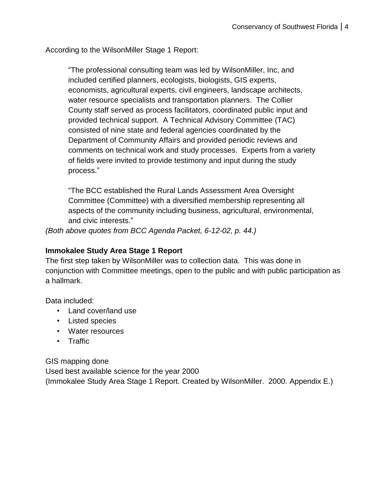According to the WilsonMiller Stage 1 Report:

"The professional consulting team was led by WilsonMiller, Inc, and included certified planners, ecologists, biologists, GIS experts, economists, agricultural experts, civil engineers, landscape architects, water resource specialists and transportation planners. The Collier County staff served as process facilitators, coordinated public input and provided technical support. A Technical Advisory Committee (TAC) consisted of nine state and federal agencies coordinated by the Department of Community Affairs and provided periodic reviews and comments on technical work and study processes. Experts from a variety of fields were invited to provide testimony and input during the study process."

"The BCC established the Rural Lands Assessment Area Oversight Committee (Committee) with a diversified membership representing all aspects of the community including business, agricultural, environmental, and civic interests."

*(Both above quotes from BCC Agenda Packet, 6-12-02, p. 44.)*

#### **Immokalee Study Area Stage 1 Report**

The first step taken by WilsonMiller was to collection data. This was done in conjunction with Committee meetings, open to the public and with public participation as a hallmark.

Data included:

- Land cover/land use
- Listed species
- Water resources
- Traffic

GIS mapping done Used best available science for the year 2000 (Immokalee Study Area Stage 1 Report. Created by WilsonMiller. 2000. Appendix E.)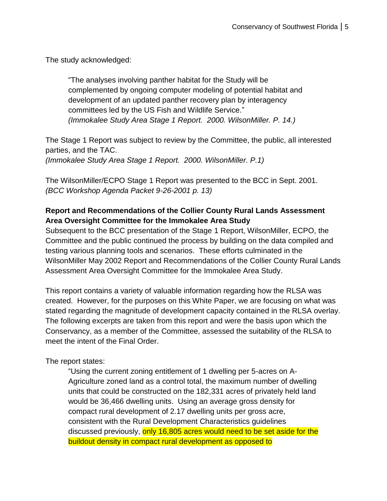The study acknowledged:

"The analyses involving panther habitat for the Study will be complemented by ongoing computer modeling of potential habitat and development of an updated panther recovery plan by interagency committees led by the US Fish and Wildlife Service." *(Immokalee Study Area Stage 1 Report. 2000. WilsonMiller. P. 14.)*

The Stage 1 Report was subject to review by the Committee, the public, all interested parties, and the TAC.

*(Immokalee Study Area Stage 1 Report. 2000. WilsonMiller. P.1)*

The WilsonMiller/ECPO Stage 1 Report was presented to the BCC in Sept. 2001. *(BCC Workshop Agenda Packet 9-26-2001 p. 13)*

## **Report and Recommendations of the Collier County Rural Lands Assessment Area Oversight Committee for the Immokalee Area Study**

Subsequent to the BCC presentation of the Stage 1 Report, WilsonMiller, ECPO, the Committee and the public continued the process by building on the data compiled and testing various planning tools and scenarios. These efforts culminated in the WilsonMiller May 2002 Report and Recommendations of the Collier County Rural Lands Assessment Area Oversight Committee for the Immokalee Area Study.

This report contains a variety of valuable information regarding how the RLSA was created. However, for the purposes on this White Paper, we are focusing on what was stated regarding the magnitude of development capacity contained in the RLSA overlay. The following excerpts are taken from this report and were the basis upon which the Conservancy, as a member of the Committee, assessed the suitability of the RLSA to meet the intent of the Final Order.

The report states:

"Using the current zoning entitlement of 1 dwelling per 5-acres on A-Agriculture zoned land as a control total, the maximum number of dwelling units that could be constructed on the 182,331 acres of privately held land would be 36,466 dwelling units. Using an average gross density for compact rural development of 2.17 dwelling units per gross acre, consistent with the Rural Development Characteristics guidelines discussed previously, only 16,805 acres would need to be set aside for the buildout density in compact rural development as opposed to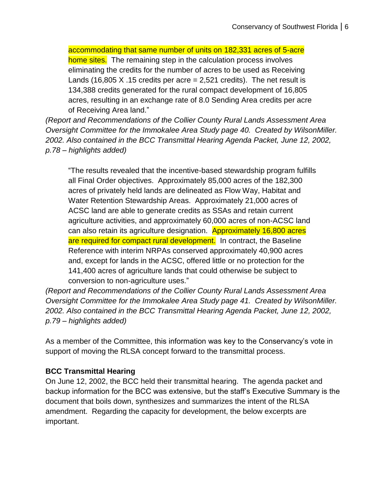accommodating that same number of units on 182,331 acres of 5-acre home sites. The remaining step in the calculation process involves eliminating the credits for the number of acres to be used as Receiving Lands (16,805 X .15 credits per acre = 2,521 credits). The net result is 134,388 credits generated for the rural compact development of 16,805 acres, resulting in an exchange rate of 8.0 Sending Area credits per acre of Receiving Area land."

*(Report and Recommendations of the Collier County Rural Lands Assessment Area Oversight Committee for the Immokalee Area Study page 40. Created by WilsonMiller. 2002. Also contained in the BCC Transmittal Hearing Agenda Packet, June 12, 2002, p.78 – highlights added)*

"The results revealed that the incentive-based stewardship program fulfills all Final Order objectives. Approximately 85,000 acres of the 182,300 acres of privately held lands are delineated as Flow Way, Habitat and Water Retention Stewardship Areas. Approximately 21,000 acres of ACSC land are able to generate credits as SSAs and retain current agriculture activities, and approximately 60,000 acres of non-ACSC land can also retain its agriculture designation. Approximately 16,800 acres are required for compact rural development. In contract, the Baseline Reference with interim NRPAs conserved approximately 40,900 acres and, except for lands in the ACSC, offered little or no protection for the 141,400 acres of agriculture lands that could otherwise be subject to conversion to non-agriculture uses."

*(Report and Recommendations of the Collier County Rural Lands Assessment Area Oversight Committee for the Immokalee Area Study page 41. Created by WilsonMiller. 2002. Also contained in the BCC Transmittal Hearing Agenda Packet, June 12, 2002, p.79 – highlights added)*

As a member of the Committee, this information was key to the Conservancy's vote in support of moving the RLSA concept forward to the transmittal process.

### **BCC Transmittal Hearing**

On June 12, 2002, the BCC held their transmittal hearing. The agenda packet and backup information for the BCC was extensive, but the staff's Executive Summary is the document that boils down, synthesizes and summarizes the intent of the RLSA amendment. Regarding the capacity for development, the below excerpts are important.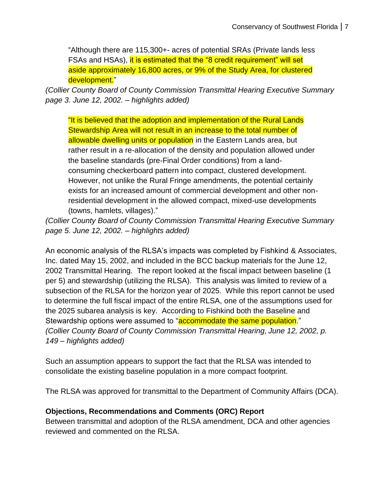"Although there are 115,300+- acres of potential SRAs (Private lands less FSAs and HSAs), it is estimated that the "8 credit requirement" will set aside approximately 16,800 acres, or 9% of the Study Area, for clustered development."

*(Collier County Board of County Commission Transmittal Hearing Executive Summary page 3. June 12, 2002. – highlights added)*

"It is believed that the adoption and implementation of the Rural Lands Stewardship Area will not result in an increase to the total number of allowable dwelling units or population in the Eastern Lands area, but rather result in a re-allocation of the density and population allowed under the baseline standards (pre-Final Order conditions) from a landconsuming checkerboard pattern into compact, clustered development. However, not unlike the Rural Fringe amendments, the potential certainly exists for an increased amount of commercial development and other nonresidential development in the allowed compact, mixed-use developments (towns, hamlets, villages)."

*(Collier County Board of County Commission Transmittal Hearing Executive Summary page 5. June 12, 2002. – highlights added)*

An economic analysis of the RLSA's impacts was completed by Fishkind & Associates, Inc. dated May 15, 2002, and included in the BCC backup materials for the June 12, 2002 Transmittal Hearing. The report looked at the fiscal impact between baseline (1 per 5) and stewardship (utilizing the RLSA). This analysis was limited to review of a subsection of the RLSA for the horizon year of 2025. While this report cannot be used to determine the full fiscal impact of the entire RLSA, one of the assumptions used for the 2025 subarea analysis is key. According to Fishkind both the Baseline and Stewardship options were assumed to "accommodate the same population." *(Collier County Board of County Commission Transmittal Hearing, June 12, 2002, p. 149 – highlights added)*

Such an assumption appears to support the fact that the RLSA was intended to consolidate the existing baseline population in a more compact footprint.

The RLSA was approved for transmittal to the Department of Community Affairs (DCA).

# **Objections, Recommendations and Comments (ORC) Report**

Between transmittal and adoption of the RLSA amendment, DCA and other agencies reviewed and commented on the RLSA.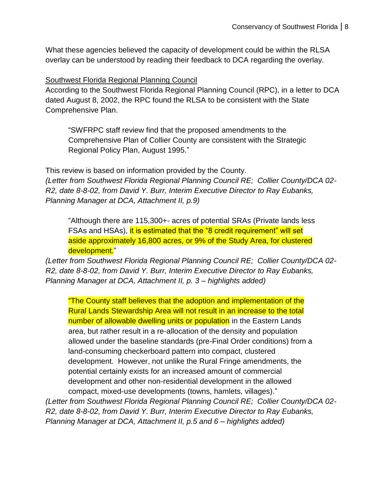What these agencies believed the capacity of development could be within the RLSA overlay can be understood by reading their feedback to DCA regarding the overlay.

Southwest Florida Regional Planning Council

According to the Southwest Florida Regional Planning Council (RPC), in a letter to DCA dated August 8, 2002, the RPC found the RLSA to be consistent with the State Comprehensive Plan.

"SWFRPC staff review find that the proposed amendments to the Comprehensive Plan of Collier County are consistent with the Strategic Regional Policy Plan, August 1995."

This review is based on information provided by the County. *(Letter from Southwest Florida Regional Planning Council RE; Collier County/DCA 02- R2, date 8-8-02, from David Y. Burr, Interim Executive Director to Ray Eubanks, Planning Manager at DCA, Attachment II, p.9)*

"Although there are 115,300+- acres of potential SRAs (Private lands less FSAs and HSAs), it is estimated that the "8 credit requirement" will set aside approximately 16,800 acres, or 9% of the Study Area, for clustered development."

*(Letter from Southwest Florida Regional Planning Council RE; Collier County/DCA 02- R2, date 8-8-02, from David Y. Burr, Interim Executive Director to Ray Eubanks, Planning Manager at DCA, Attachment II, p. 3 – highlights added)*

"The County staff believes that the adoption and implementation of the Rural Lands Stewardship Area will not result in an increase to the total number of allowable dwelling units or population in the Eastern Lands area, but rather result in a re-allocation of the density and population allowed under the baseline standards (pre-Final Order conditions) from a land-consuming checkerboard pattern into compact, clustered development. However, not unlike the Rural Fringe amendments, the potential certainly exists for an increased amount of commercial development and other non-residential development in the allowed compact, mixed-use developments (towns, hamlets, villages)."

*(Letter from Southwest Florida Regional Planning Council RE; Collier County/DCA 02- R2, date 8-8-02, from David Y. Burr, Interim Executive Director to Ray Eubanks, Planning Manager at DCA, Attachment II, p.5 and 6 – highlights added)*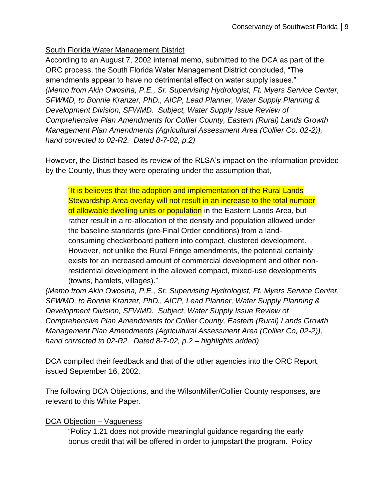# South Florida Water Management District

According to an August 7, 2002 internal memo, submitted to the DCA as part of the ORC process, the South Florida Water Management District concluded, "The amendments appear to have no detrimental effect on water supply issues." *(Memo from Akin Owosina, P.E., Sr. Supervising Hydrologist, Ft. Myers Service Center, SFWMD, to Bonnie Kranzer, PhD., AICP, Lead Planner, Water Supply Planning & Development Division, SFWMD. Subject, Water Supply Issue Review of Comprehensive Plan Amendments for Collier County, Eastern (Rural) Lands Growth Management Plan Amendments (Agricultural Assessment Area (Collier Co, 02-2)), hand corrected to 02-R2. Dated 8-7-02, p.2)*

However, the District based its review of the RLSA's impact on the information provided by the County, thus they were operating under the assumption that,

"It is believes that the adoption and implementation of the Rural Lands Stewardship Area overlay will not result in an increase to the total number of allowable dwelling units or population in the Eastern Lands Area, but rather result in a re-allocation of the density and population allowed under the baseline standards (pre-Final Order conditions) from a landconsuming checkerboard pattern into compact, clustered development. However, not unlike the Rural Fringe amendments, the potential certainly exists for an increased amount of commercial development and other nonresidential development in the allowed compact, mixed-use developments (towns, hamlets, villages)."

*(Memo from Akin Owosina, P.E., Sr. Supervising Hydrologist, Ft. Myers Service Center, SFWMD, to Bonnie Kranzer, PhD., AICP, Lead Planner, Water Supply Planning & Development Division, SFWMD. Subject, Water Supply Issue Review of Comprehensive Plan Amendments for Collier County, Eastern (Rural) Lands Growth Management Plan Amendments (Agricultural Assessment Area (Collier Co, 02-2)), hand corrected to 02-R2. Dated 8-7-02, p.2 – highlights added)*

DCA compiled their feedback and that of the other agencies into the ORC Report, issued September 16, 2002.

The following DCA Objections, and the WilsonMiller/Collier County responses, are relevant to this White Paper.

# DCA Objection – Vagueness

"Policy 1.21 does not provide meaningful guidance regarding the early bonus credit that will be offered in order to jumpstart the program. Policy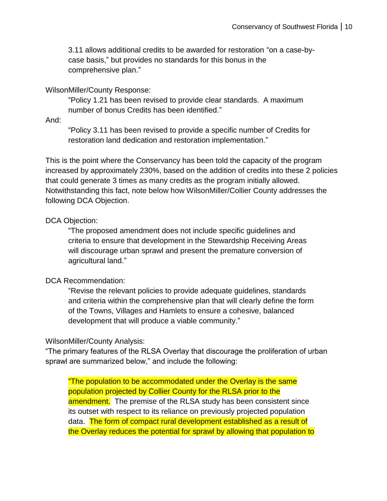3.11 allows additional credits to be awarded for restoration "on a case-bycase basis," but provides no standards for this bonus in the comprehensive plan."

#### WilsonMiller/County Response:

"Policy 1.21 has been revised to provide clear standards. A maximum number of bonus Credits has been identified."

And:

"Policy 3.11 has been revised to provide a specific number of Credits for restoration land dedication and restoration implementation."

This is the point where the Conservancy has been told the capacity of the program increased by approximately 230%, based on the addition of credits into these 2 policies that could generate 3 times as many credits as the program initially allowed. Notwithstanding this fact, note below how WilsonMiller/Collier County addresses the following DCA Objection.

#### DCA Objection:

"The proposed amendment does not include specific guidelines and criteria to ensure that development in the Stewardship Receiving Areas will discourage urban sprawl and present the premature conversion of agricultural land."

#### DCA Recommendation:

"Revise the relevant policies to provide adequate guidelines, standards and criteria within the comprehensive plan that will clearly define the form of the Towns, Villages and Hamlets to ensure a cohesive, balanced development that will produce a viable community."

### WilsonMiller/County Analysis:

"The primary features of the RLSA Overlay that discourage the proliferation of urban sprawl are summarized below," and include the following:

"The population to be accommodated under the Overlay is the same population projected by Collier County for the RLSA prior to the amendment. The premise of the RLSA study has been consistent since its outset with respect to its reliance on previously projected population data. The form of compact rural development established as a result of the Overlay reduces the potential for sprawl by allowing that population to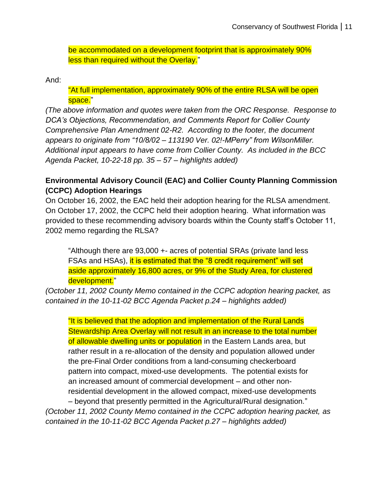be accommodated on a development footprint that is approximately 90% less than required without the Overlay."

And:

"At full implementation, approximately 90% of the entire RLSA will be open space."

*(The above information and quotes were taken from the ORC Response. Response to DCA's Objections, Recommendation, and Comments Report for Collier County Comprehensive Plan Amendment 02-R2. According to the footer, the document appears to originate from "10/8/02 – 113190 Ver. 02!-MPerry" from WilsonMiller. Additional input appears to have come from Collier County. As included in the BCC Agenda Packet, 10-22-18 pp. 35 – 57 – highlights added)*

### **Environmental Advisory Council (EAC) and Collier County Planning Commission (CCPC) Adoption Hearings**

On October 16, 2002, the EAC held their adoption hearing for the RLSA amendment. On October 17, 2002, the CCPC held their adoption hearing. What information was provided to these recommending advisory boards within the County staff's October 11, 2002 memo regarding the RLSA?

"Although there are 93,000 +- acres of potential SRAs (private land less FSAs and HSAs), it is estimated that the "8 credit requirement" will set aside approximately 16,800 acres, or 9% of the Study Area, for clustered development."

*(October 11, 2002 County Memo contained in the CCPC adoption hearing packet, as contained in the 10-11-02 BCC Agenda Packet p.24 – highlights added)*

"It is believed that the adoption and implementation of the Rural Lands Stewardship Area Overlay will not result in an increase to the total number of allowable dwelling units or population in the Eastern Lands area, but rather result in a re-allocation of the density and population allowed under the pre-Final Order conditions from a land-consuming checkerboard pattern into compact, mixed-use developments. The potential exists for an increased amount of commercial development – and other nonresidential development in the allowed compact, mixed-use developments – beyond that presently permitted in the Agricultural/Rural designation."

*(October 11, 2002 County Memo contained in the CCPC adoption hearing packet, as contained in the 10-11-02 BCC Agenda Packet p.27 – highlights added)*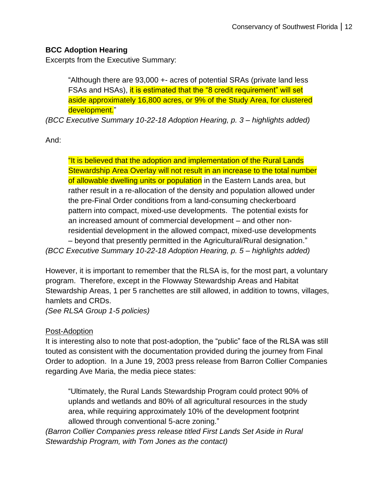# **BCC Adoption Hearing**

Excerpts from the Executive Summary:

"Although there are 93,000 +- acres of potential SRAs (private land less FSAs and HSAs), it is estimated that the "8 credit requirement" will set aside approximately 16,800 acres, or 9% of the Study Area, for clustered development."

*(BCC Executive Summary 10-22-18 Adoption Hearing, p. 3 – highlights added)*

And:

"It is believed that the adoption and implementation of the Rural Lands Stewardship Area Overlay will not result in an increase to the total number of allowable dwelling units or population in the Eastern Lands area, but rather result in a re-allocation of the density and population allowed under the pre-Final Order conditions from a land-consuming checkerboard pattern into compact, mixed-use developments. The potential exists for an increased amount of commercial development – and other nonresidential development in the allowed compact, mixed-use developments – beyond that presently permitted in the Agricultural/Rural designation." *(BCC Executive Summary 10-22-18 Adoption Hearing, p. 5 – highlights added)*

However, it is important to remember that the RLSA is, for the most part, a voluntary program. Therefore, except in the Flowway Stewardship Areas and Habitat Stewardship Areas, 1 per 5 ranchettes are still allowed, in addition to towns, villages, hamlets and CRDs.

*(See RLSA Group 1-5 policies)*

# Post-Adoption

It is interesting also to note that post-adoption, the "public" face of the RLSA was still touted as consistent with the documentation provided during the journey from Final Order to adoption. In a June 19, 2003 press release from Barron Collier Companies regarding Ave Maria, the media piece states:

"Ultimately, the Rural Lands Stewardship Program could protect 90% of uplands and wetlands and 80% of all agricultural resources in the study area, while requiring approximately 10% of the development footprint allowed through conventional 5-acre zoning."

*(Barron Collier Companies press release titled First Lands Set Aside in Rural Stewardship Program, with Tom Jones as the contact)*